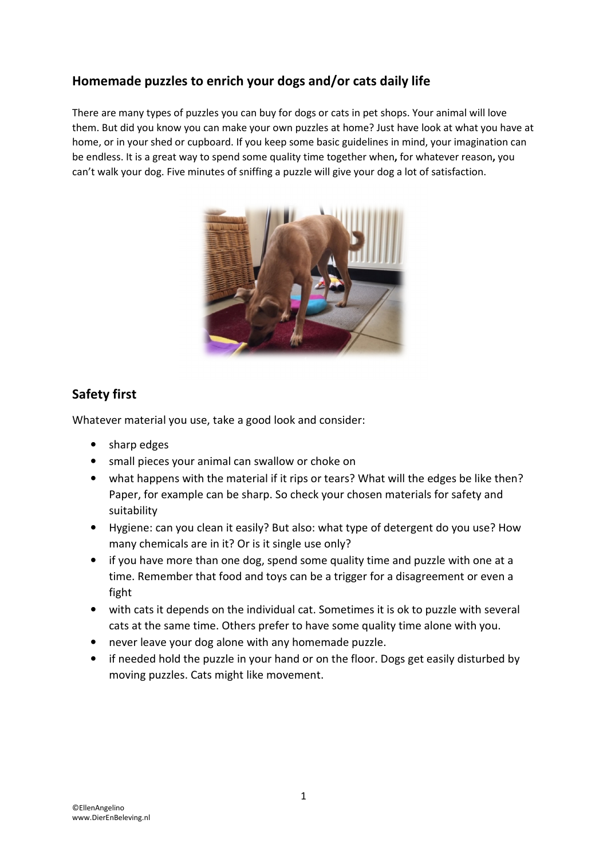# Homemade puzzles to enrich your dogs and/or cats daily life

There are many types of puzzles you can buy for dogs or cats in pet shops. Your animal will love them. But did you know you can make your own puzzles at home? Just have look at what you have at home, or in your shed or cupboard. If you keep some basic guidelines in mind, your imagination can be endless. It is a great way to spend some quality time together when, for whatever reason, you can't walk your dog. Five minutes of sniffing a puzzle will give your dog a lot of satisfaction.



# Safety first

Whatever material you use, take a good look and consider:

- sharp edges
- small pieces your animal can swallow or choke on
- what happens with the material if it rips or tears? What will the edges be like then? Paper, for example can be sharp. So check your chosen materials for safety and suitability
- Hygiene: can you clean it easily? But also: what type of detergent do you use? How many chemicals are in it? Or is it single use only?
- if you have more than one dog, spend some quality time and puzzle with one at a time. Remember that food and toys can be a trigger for a disagreement or even a fight
- with cats it depends on the individual cat. Sometimes it is ok to puzzle with several cats at the same time. Others prefer to have some quality time alone with you.
- never leave your dog alone with any homemade puzzle.
- if needed hold the puzzle in your hand or on the floor. Dogs get easily disturbed by moving puzzles. Cats might like movement.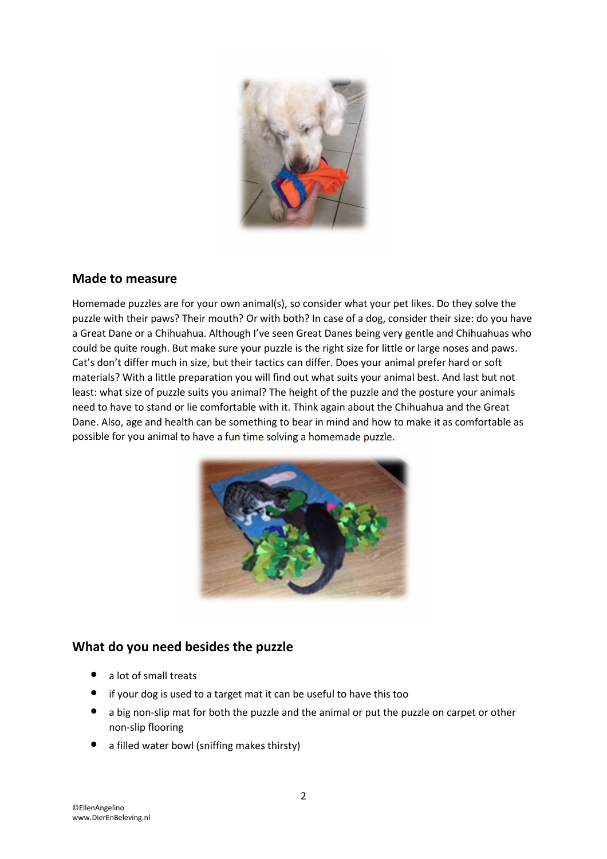

#### Made to measure

Homemade puzzles are for your own animal(s), so consider what your pet likes. Do they solve the puzzle with their paws? Their mouth? Or with both? In case of a dog, consider their size: do you have a Great Dane or a Chihuahua. Although I've seen Great Danes being very gentle and Chihuahuas who could be quite rough. But make sure your puzzle is the right size for little or large noses and paws. Cat's don't differ much in size, but their tactics can differ. Does your animal prefer hard or soft materials? With a little preparation you will find out what suits your animal best. And last but not least: what size of puzzle suits you animal? The height of the puzzle and the posture your animals need to have to stand or lie comfortable with it. Think again about the Chihuahua and the Great Dane. Also, age and health can be something to bear in mind and how to make it as comfortable as possible for you animal to have a fun time solving a homemade puzzle.



### What do you need besides the puzzle

- a lot of small treats
- if your dog is used to a target mat it can be useful to have this too
- a big non-slip mat for both the puzzle and the animal or put the puzzle on carpet or other non-slip flooring
- a filled water bowl (sniffing makes thirsty)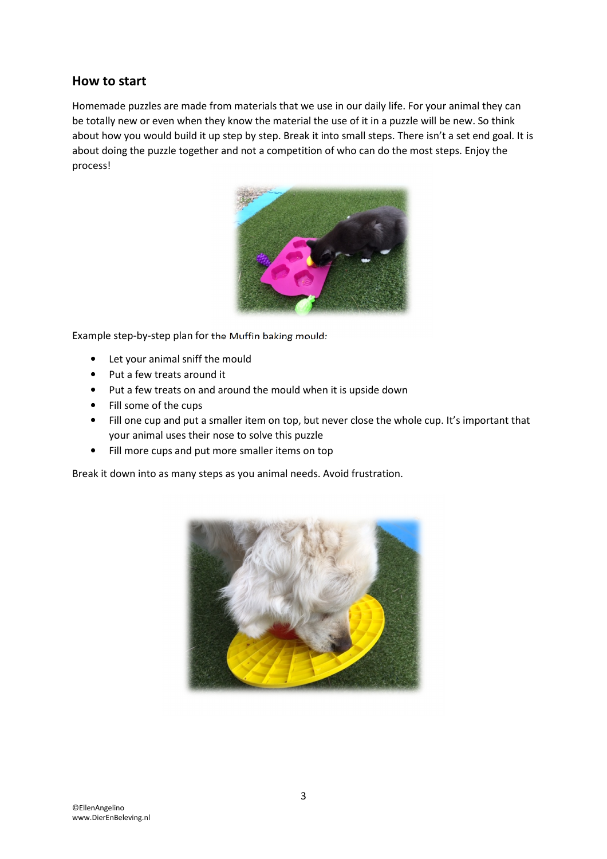### How to start

Homemade puzzles are made from materials that we use in our daily life. For your animal they can be totally new or even when they know the material the use of it in a puzzle will be new. So think about how you would build it up step by step. Break it into small steps. There isn't a set end goal. It is about doing the puzzle together and not a competition of who can do the most steps. Enjoy the process!



Example step-by-step plan for the Muffin baking mould:

- Let your animal sniff the mould
- Put a few treats around it
- Put a few treats on and around the mould when it is upside down
- Fill some of the cups
- Fill one cup and put a smaller item on top, but never close the whole cup. It's important that your animal uses their nose to solve this puzzle
- Fill more cups and put more smaller items on top

Break it down into as many steps as you animal needs. Avoid frustration.

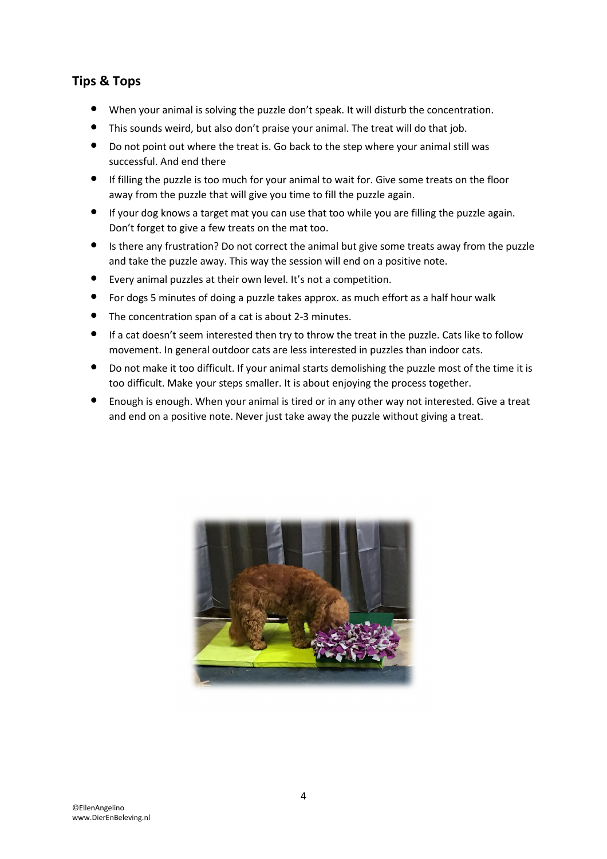## Tips & Tops

- When your animal is solving the puzzle don't speak. It will disturb the concentration.
- This sounds weird, but also don't praise your animal. The treat will do that job.
- Do not point out where the treat is. Go back to the step where your animal still was successful. And end there
- If filling the puzzle is too much for your animal to wait for. Give some treats on the floor away from the puzzle that will give you time to fill the puzzle again.
- If your dog knows a target mat you can use that too while you are filling the puzzle again. Don't forget to give a few treats on the mat too.
- Is there any frustration? Do not correct the animal but give some treats away from the puzzle and take the puzzle away. This way the session will end on a positive note.
- Every animal puzzles at their own level. It's not a competition.
- For dogs 5 minutes of doing a puzzle takes approx. as much effort as a half hour walk
- The concentration span of a cat is about 2-3 minutes.
- If a cat doesn't seem interested then try to throw the treat in the puzzle. Cats like to follow movement. In general outdoor cats are less interested in puzzles than indoor cats.
- Do not make it too difficult. If your animal starts demolishing the puzzle most of the time it is too difficult. Make your steps smaller. It is about enjoying the process together.
- Enough is enough. When your animal is tired or in any other way not interested. Give a treat and end on a positive note. Never just take away the puzzle without giving a treat.